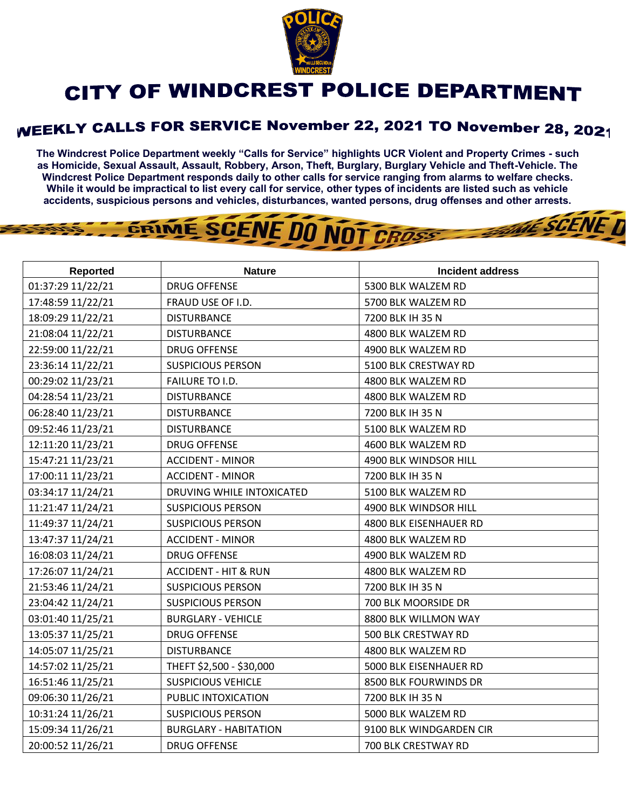

## CITY OF WINDCREST POLICE DEPARTMENT

## **WEEKLY CALLS FOR SERVICE November 22, 2021 TO November 28, 2021**

**The Windcrest Police Department weekly "Calls for Service" highlights UCR Violent and Property Crimes - such as Homicide, Sexual Assault, Assault, Robbery, Arson, Theft, Burglary, Burglary Vehicle and Theft-Vehicle. The Windcrest Police Department responds daily to other calls for service ranging from alarms to welfare checks. While it would be impractical to list every call for service, other types of incidents are listed such as vehicle accidents, suspicious persons and vehicles, disturbances, wanted persons, drug offenses and other arrests.** 

THE SCENE D

## GRIME SCENE DO NOT CROSS

| Reported          | <b>Nature</b>                   | Incident address        |
|-------------------|---------------------------------|-------------------------|
| 01:37:29 11/22/21 | <b>DRUG OFFENSE</b>             | 5300 BLK WALZEM RD      |
| 17:48:59 11/22/21 | FRAUD USE OF I.D.               | 5700 BLK WALZEM RD      |
| 18:09:29 11/22/21 | <b>DISTURBANCE</b>              | 7200 BLK IH 35 N        |
| 21:08:04 11/22/21 | <b>DISTURBANCE</b>              | 4800 BLK WALZEM RD      |
| 22:59:00 11/22/21 | <b>DRUG OFFENSE</b>             | 4900 BLK WALZEM RD      |
| 23:36:14 11/22/21 | <b>SUSPICIOUS PERSON</b>        | 5100 BLK CRESTWAY RD    |
| 00:29:02 11/23/21 | FAILURE TO I.D.                 | 4800 BLK WALZEM RD      |
| 04:28:54 11/23/21 | <b>DISTURBANCE</b>              | 4800 BLK WALZEM RD      |
| 06:28:40 11/23/21 | <b>DISTURBANCE</b>              | 7200 BLK IH 35 N        |
| 09:52:46 11/23/21 | <b>DISTURBANCE</b>              | 5100 BLK WALZEM RD      |
| 12:11:20 11/23/21 | <b>DRUG OFFENSE</b>             | 4600 BLK WALZEM RD      |
| 15:47:21 11/23/21 | <b>ACCIDENT - MINOR</b>         | 4900 BLK WINDSOR HILL   |
| 17:00:11 11/23/21 | <b>ACCIDENT - MINOR</b>         | 7200 BLK IH 35 N        |
| 03:34:17 11/24/21 | DRUVING WHILE INTOXICATED       | 5100 BLK WALZEM RD      |
| 11:21:47 11/24/21 | <b>SUSPICIOUS PERSON</b>        | 4900 BLK WINDSOR HILL   |
| 11:49:37 11/24/21 | <b>SUSPICIOUS PERSON</b>        | 4800 BLK EISENHAUER RD  |
| 13:47:37 11/24/21 | <b>ACCIDENT - MINOR</b>         | 4800 BLK WALZEM RD      |
| 16:08:03 11/24/21 | <b>DRUG OFFENSE</b>             | 4900 BLK WALZEM RD      |
| 17:26:07 11/24/21 | <b>ACCIDENT - HIT &amp; RUN</b> | 4800 BLK WALZEM RD      |
| 21:53:46 11/24/21 | SUSPICIOUS PERSON               | 7200 BLK IH 35 N        |
| 23:04:42 11/24/21 | <b>SUSPICIOUS PERSON</b>        | 700 BLK MOORSIDE DR     |
| 03:01:40 11/25/21 | <b>BURGLARY - VEHICLE</b>       | 8800 BLK WILLMON WAY    |
| 13:05:37 11/25/21 | <b>DRUG OFFENSE</b>             | 500 BLK CRESTWAY RD     |
| 14:05:07 11/25/21 | <b>DISTURBANCE</b>              | 4800 BLK WALZEM RD      |
| 14:57:02 11/25/21 | THEFT \$2,500 - \$30,000        | 5000 BLK EISENHAUER RD  |
| 16:51:46 11/25/21 | <b>SUSPICIOUS VEHICLE</b>       | 8500 BLK FOURWINDS DR   |
| 09:06:30 11/26/21 | PUBLIC INTOXICATION             | 7200 BLK IH 35 N        |
| 10:31:24 11/26/21 | <b>SUSPICIOUS PERSON</b>        | 5000 BLK WALZEM RD      |
| 15:09:34 11/26/21 | <b>BURGLARY - HABITATION</b>    | 9100 BLK WINDGARDEN CIR |
| 20:00:52 11/26/21 | <b>DRUG OFFENSE</b>             | 700 BLK CRESTWAY RD     |